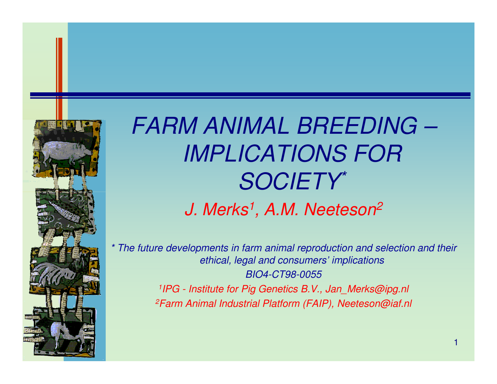

## *FARM ANIMAL BREEDING –IMPLICATIONS FOR SOCIETY\* J. Merks1, A.M. Neeteson2*

*\* The future developments in farm animal reproduction and selection and their ethical, legal and consumers' implicationsBIO4-CT98-0055<sup>1</sup>IPG - Institute for Pig Genetics B.V., Jan\_Merks@ipg.nl*

*2Farm Animal Industrial Platform (FAIP), Neeteson@iaf.nl*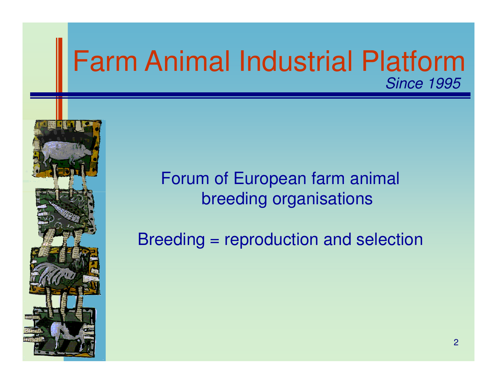

Breeding = reproduction and selection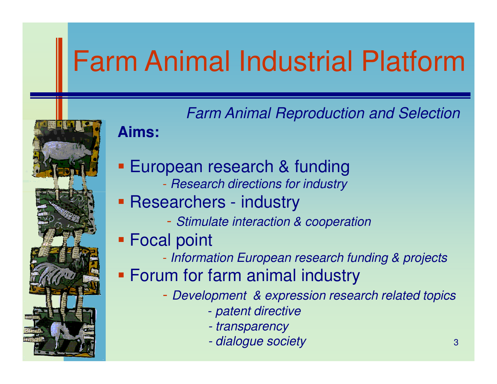

#### **Aims:**

- **European research & funding** 
	- Rasaarch diractions for industr *Research directions for industry*
- **Researchers industry** 
	- *Stimulate interaction & cooperation*
- Focal point
	- *Information European research funding & projects*
- Forum for farm animal industry
	- *Development & expression research related topics*
		- *patent directive*
		- *- transparency*
		- *dialogue society*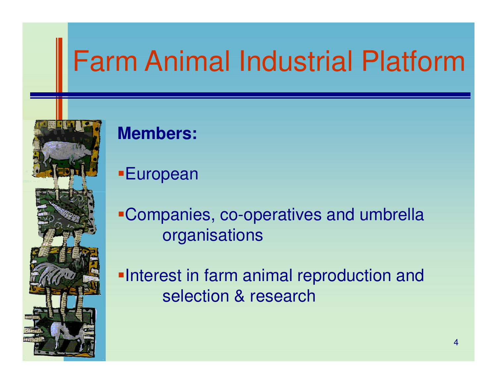

### **Members:**

European

Companies, co-operatives and umbrella organisations

**-Interest in farm animal reproduction and** selection & research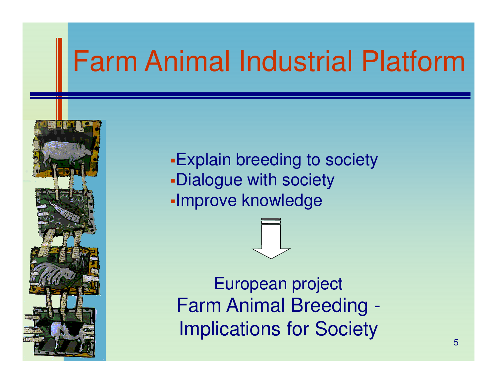

Explain breeding to societyDialogue with societyImprove knowledge

European project Farm Animal Breeding -Implications for Society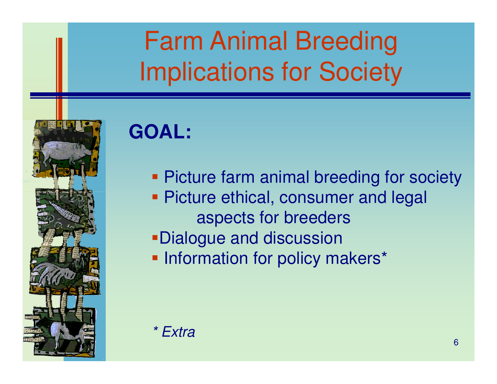## Farm Animal BreedingImplications for Society



## **GOAL:**

- **Picture farm animal breeding for society**
- **Picture ethical, consumer and legal** aspects for breeders
- Dialogue and discussion
- **Information for policy makers\***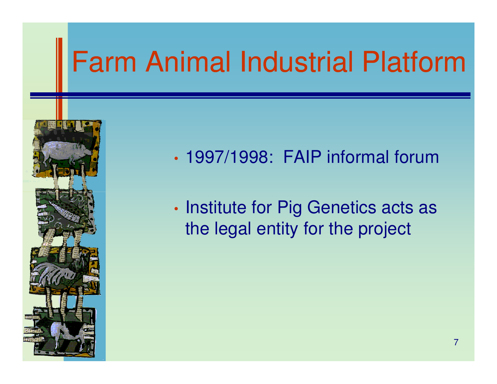

- •1997/1998: FAIP informal forum
- •• Institute for Pig Genetics acts as the legal entity for the project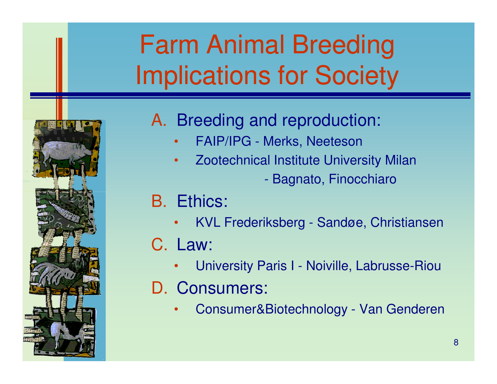## Farm Animal BreedingImplications for Society



### A. Breeding and reproduction:

- •FAIP/IPG - Merks, Neeteson
- • Zootechnical Institute University Milan $\mathcal{L}_{\mathcal{A}}$  -size  $\mathcal{L}_{\mathcal{A}}$  -size  $\mathcal{L}_{\mathcal{A}}$  -size  $\mathcal{L}_{\mathcal{A}}$ Bagnato, Finocchiaro
- B. Ethics:
	- •KVL Frederiksberg - Sandøe, Christiansen
- C. Law:
	- •University Paris I - Noiville, Labrusse-Riou
- D. Consumers:
	- •Consumer&Biotechnology - Van Genderen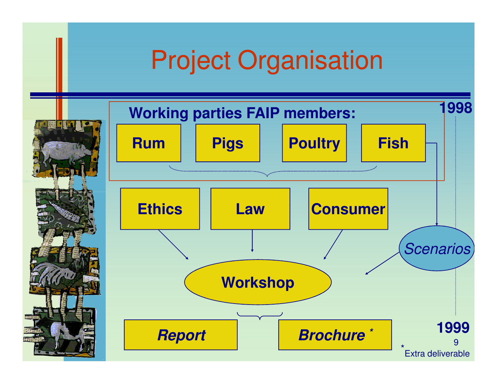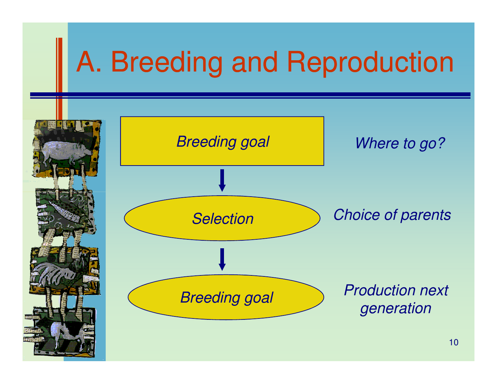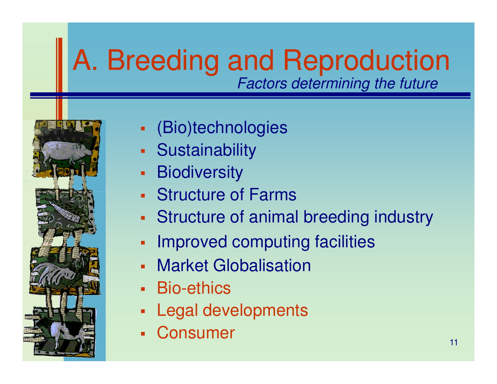## A. Breeding and Reproduction*Factors determining the future*



- $\blacksquare$ (Bio)technologies
- Sustainability
- $\blacksquare$ **Biodiversity**
- Structure of Farms
- Structure of animal breeding industry
- $\blacksquare$ Improved computing facilities
- $\blacksquare$ **Market Globalisation**
- L. Bio-ethics
- L. Legal developments
- L. **Consumer**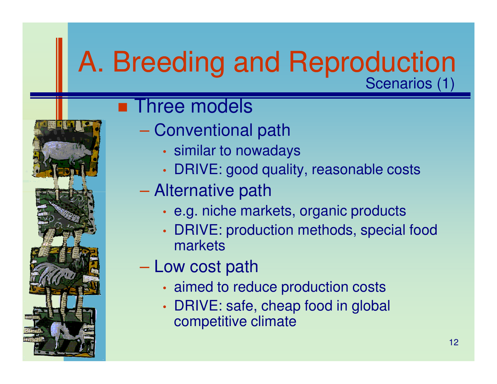### A. Breeding and ReproductionScenarios (1)

## **Exercise** models

- Conventional path
	- •• similar to nowadays
	- •DRIVE: good quality, reasonable costs
- $\mathcal{L}_{\mathcal{A}}$  , and the set of  $\mathcal{L}_{\mathcal{A}}$  Alternative path
	- •• e.g. niche markets, organic products
	- • DRIVE: production methods, special food markets
- Low cost path
	- •aimed to reduce production costs
	- • DRIVE: safe, cheap food in global competitive climate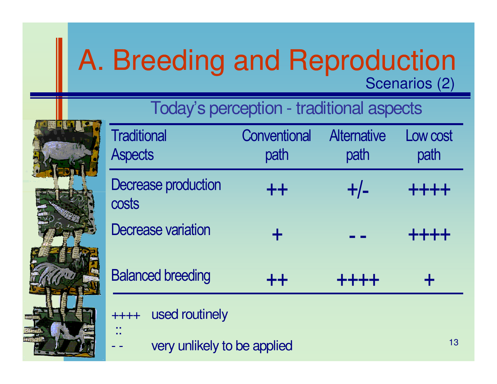## A. Breeding and ReproductionScenarios (2)

Today's perception - traditional aspects

| <b>Traditional</b><br><b>Aspects</b> | Conventional<br>path | <b>Alternative</b><br>path | Low cost<br>path |
|--------------------------------------|----------------------|----------------------------|------------------|
| <b>Decrease production</b><br>costs  | $++$                 | $+/-$                      | ++++             |
| Decrease variation                   |                      |                            | eje eje eje s    |
| <b>Balanced breeding</b>             | $++$                 | ++++                       |                  |
| used routinely                       |                      |                            |                  |

very unlikely to be applied

::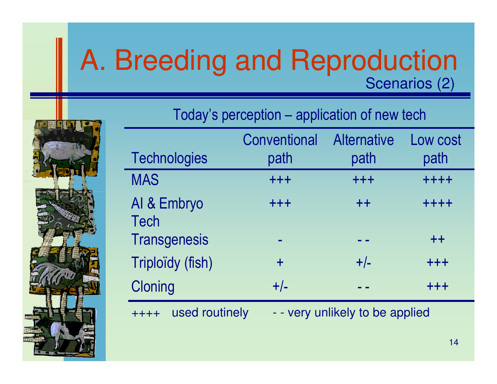## A. Breeding and ReproductionScenarios (2)



|  | Today's perception – application of new tech |
|--|----------------------------------------------|
|  |                                              |

|                            | Conventional | <b>Alternative</b> | Low cost |
|----------------------------|--------------|--------------------|----------|
| <b>Technologies</b>        | path         | path               | path     |
| <b>MAS</b>                 | +++          | $+ + +$            | ++++     |
| AI & Embryo<br><b>Tech</b> | $+ + +$      | $++$               | ++++     |
| <b>Transgenesis</b>        |              |                    | $++$     |
| Triploïdy (fish)           | $\ddagger$   | $+/-$              | +++      |
| <b>Cloning</b>             | $+/-$        |                    | $+ + +$  |

++++ used routinely - - very unlikely to be applied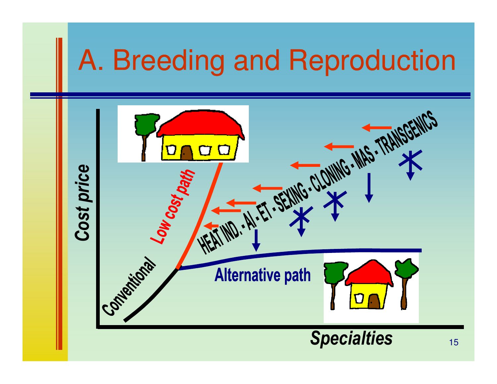# A. Breeding and Reproduction**Alternative path Francisco Community of This CENTICS** *Cost price* Low cost pay Companicom **Alternative path** *Specialties* $3^{15}$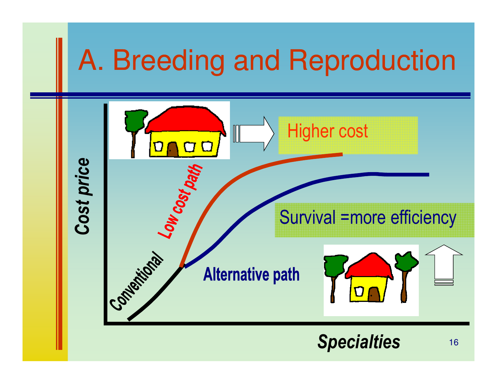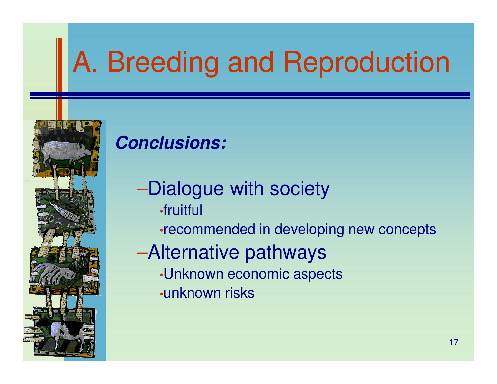# A. Breeding and Reproduction



### **Conclusions:**

- –Dialogue with society •fruitful
	- •recommended in developing new concepts
- –Alternative pathways
	- •Unknown economic aspects
	- •unknown risks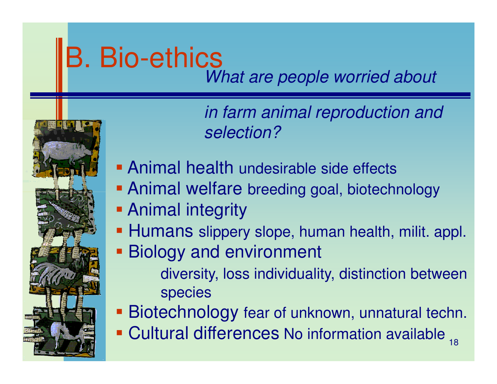# B. Bio-ethics

*What are people worried about* 



*in farm animal reproduction and selection?*

- **Animal health undesirable side effects**
- **Animal welfare breeding goal, biotechnology**
- **Animal integrity**
- **Humans slippery slope, human health, milit. appl.**
- Biology and environment
	- diversity, loss individuality, distinction betweenspecies
- Biotechnology fear of unknown, unnatural techn.
- 18Cultural differences No information available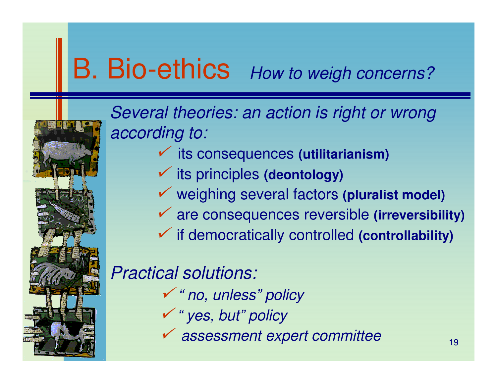### B. Bio-ethics*How to weigh concerns?*



*Several theories: an action is right or wrong according to:* 

- its consequences **(utilitarianism)**
- its principles **(deontology)**
- weighing several factors **(pluralist model)**
- are consequences reversible **(irreversibility)**
- if democratically controlled **(controllability)**

### *Practical solutions:*

- *" no, unless" policy*
- *" yes, but" policy*
- *assessment expert committee*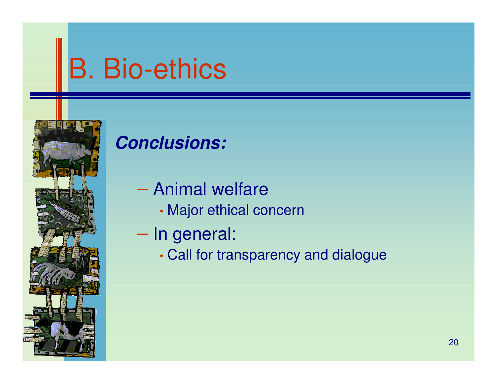# B. Bio-ethics



### **Conclusions:**

- Animal welfare
	- •Major ethical concern
- In general:
	- •Call for transparency and dialogue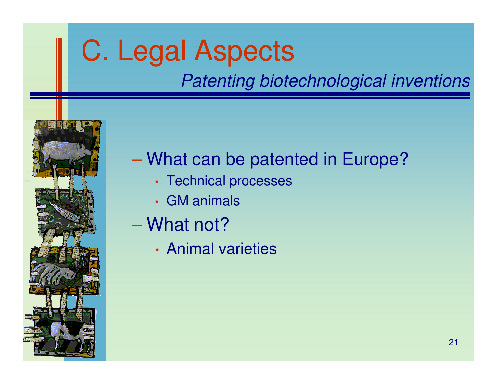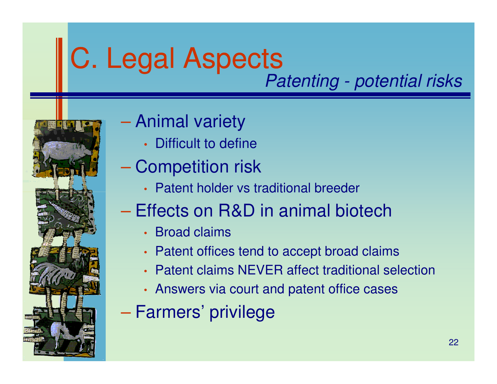# C. Legal Aspects

*Patenting - potential risks*



#### $\mathcal{L}_{\mathcal{A}}$  , and the set of the set of the set of the set of the set of the set of the set of the set of the set of the set of the set of the set of the set of the set of the set of the set of the set of the set of th Animal variety

- •Difficult to define
- $\mathcal{L}_{\mathcal{A}}$  , and the set of the set of the set of the set of the set of the set of the set of the set of the set of the set of the set of the set of the set of the set of the set of the set of the set of the set of th – Competition risk
	- Patent holder vs traditional breeder
- $\mathcal{L}_{\mathcal{A}}$  , and the set of the set of the set of the set of the set of the set of the set of the set of the set of the set of the set of the set of the set of the set of the set of the set of the set of the set of th – Effects on R&D in animal biotech
	- Broad claims
	- Patent offices tend to accept broad claims
	- Patent claims NEVER affect traditional selection
	- Answers via court and patent office cases
- $\mathcal{L}_{\mathcal{A}}$  , and the set of the set of the set of the set of the set of the set of the set of the set of the set of the set of the set of the set of the set of the set of the set of the set of the set of the set of th – Farmers' privilege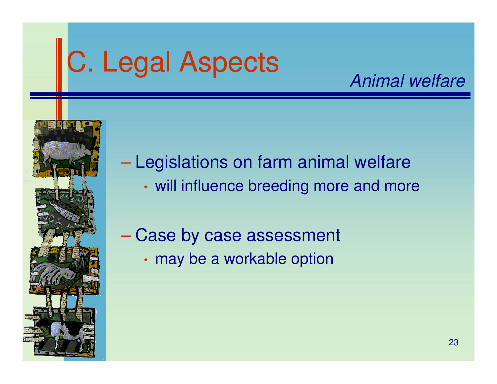# C. Legal Aspects

### *Animal welfare*



Legislations on farm animal welfare

- •will influence breeding more and more
- $\mathcal{L}_{\mathcal{A}}$  , and the set of the set of the set of the set of the set of the set of the set of the set of the set of the set of the set of the set of the set of the set of the set of the set of the set of the set of th Case by case assessment
	- •• may be a workable option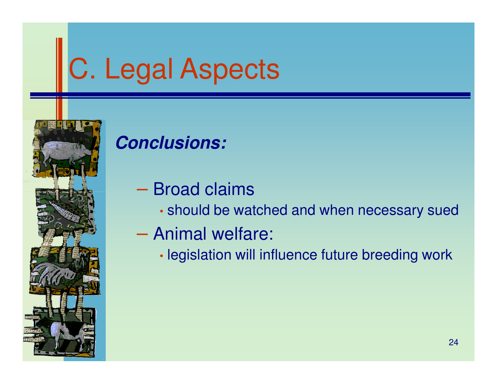# C. Legal Aspects



### **Conclusions:**

- Broad claims
	- •should be watched and when necessary sued
- Animal welfare:
	- •legislation will influence future breeding work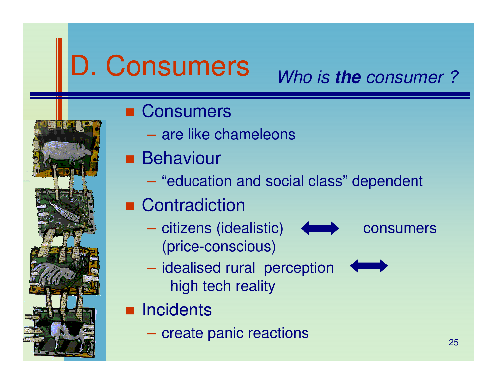# D. Consumers

## *Who is* **the** *consumer ?*

- Consumers
	- – $-$  are like chameleons
- Behaviour
	- $\mathcal{L}_{\mathcal{A}}$  , and the set of  $\mathcal{L}_{\mathcal{A}}$  $-$  "education and social class" dependent
- Contradiction
	- $\mathcal{L}_{\mathcal{A}}$ – citizens (idealistic) < consumers (price-conscious)
- 

- $\mathcal{L}_{\mathcal{A}}$ - idealised rural perception high tech reality
- Incidents
	- – $-$  create panic reactions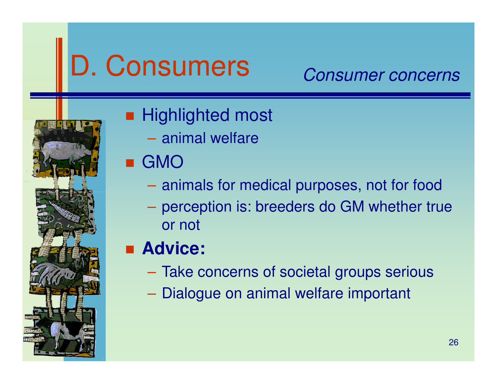# D. Consumers

### *Consumer concerns*



## ■ Highlighted most

- – $-$  animal welfare
- GMO
	- and the contract of animals for medical purposes, not for food
	- – perception is: breeders do GM whether true or not
- Advice:
	- $\mathcal{L}_{\mathcal{A}}$  $-$  Take concerns of societal groups serious
	- $\mathcal{L}_{\mathcal{A}}$  , and the set of  $\mathcal{L}_{\mathcal{A}}$  $-$  Dialogue on animal welfare important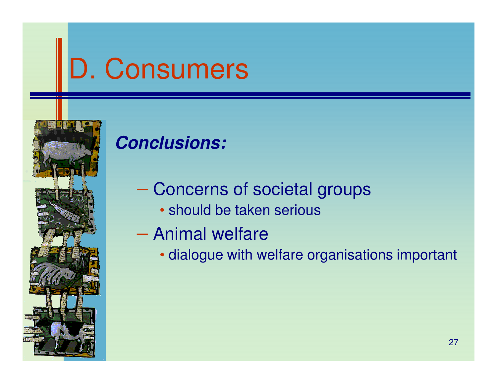# D. Consumers



### **Conclusions:**

- Concerns of societal groups
	- should be taken serious
- Animal welfare
	- dialogue with welfare organisations important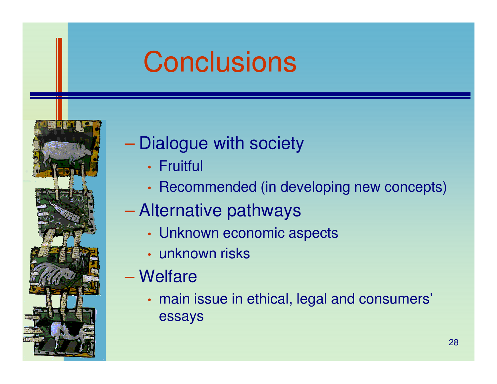## **Conclusions**



#### $\mathcal{L}_{\mathcal{A}}$  , and the set of the set of the set of the set of the set of the set of the set of the set of the set of the set of the set of the set of the set of the set of the set of the set of the set of the set of th — Dialogue with society

- •• Fruitful
- •• Recommended (in developing new concepts)

#### $\mathcal{L}_{\mathcal{A}}$  , and the set of the set of the set of the set of the set of the set of the set of the set of the set of the set of the set of the set of the set of the set of the set of the set of the set of the set of th Alternative pathways

- •Unknown economic aspects
- • $\bm{\cdot}$  unknown risks
- **Hart Communication**  Welfare
	- • main issue in ethical, legal and consumers' essays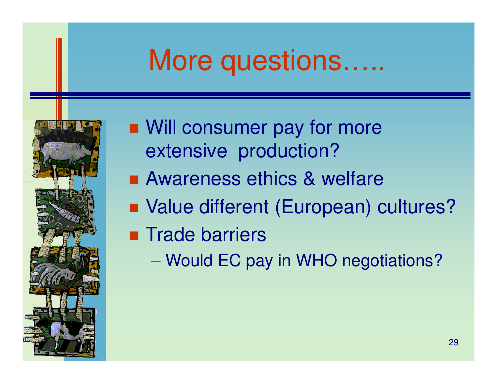## More questions…..



- Will consumer pay for more extensive production?
- Awareness ethics & welfare
- Value different (European) cultures?
- **Exercise Exercise Trade barriers** 
	- **Hart Communication** – Would EC pay in WHO negotiations?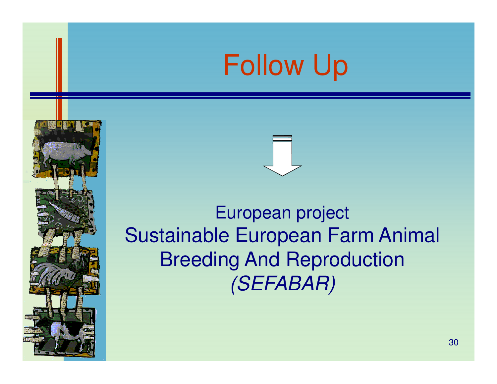## Follow Up





### European project Sustainable European Farm Animal Breeding And Reproduction*(SEFABAR)*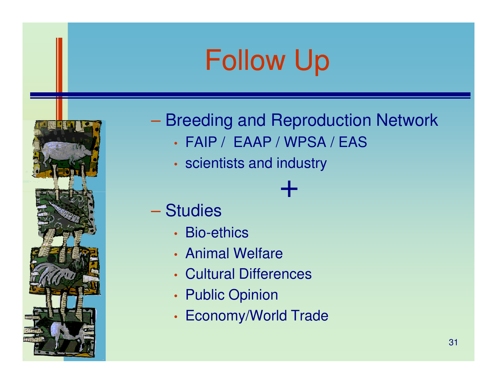# Follow Up



## $-$  Breeding and Reproduction Network

+

- •FAIP / EAAP / WPSA / EAS
- •• scientists and industry
- Studies
	- •• Bio-ethics
	- •• Animal Welfare
	- •Cultural Differences
	- •• Public Opinion
	- •• Economy/World Trade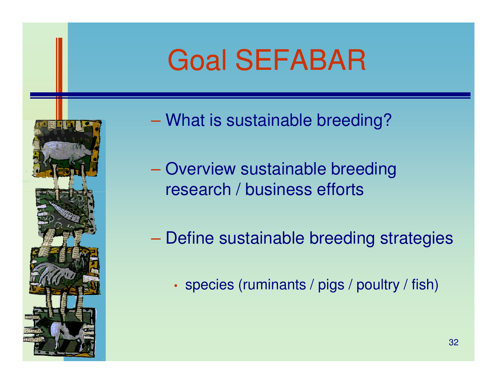## Goal SEFABAR



- What is sustainable breeding?
- **Hart Common** - Overview sustainable breeding research / business efforts
- **Hart Communication**  Define sustainable breeding strategies
	- •• species (ruminants / pigs / poultry / fish)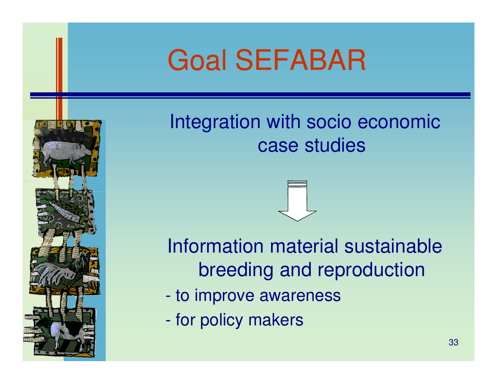## Goal SEFABAR



Integration with socio economic case studies

### Information material sustainable breeding and reproduction

- $\mathcal{L}_{\mathcal{A}}$  -size  $\mathcal{L}_{\mathcal{A}}$  -size  $\mathcal{L}_{\mathcal{A}}$  -size  $\mathcal{L}_{\mathcal{A}}$ to improve awareness
- $\mathcal{L}_{\mathcal{A}}$ for policy makers